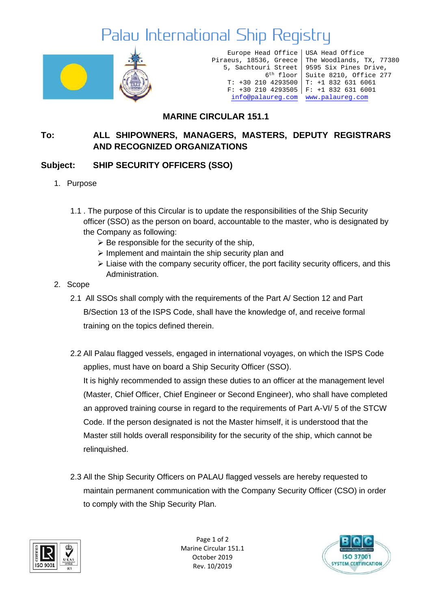# Palau International Ship Registry



Europe Head Office Piraeus, 18536, Greece 5, Sachtouri Street 6th floor T: +30 210 4293500 T: +1 832 631 6061 F: +30 210 4293505 F: +1 832 631 6001 [info@palaureg.com](mailto:info@palaureg.com) [www.palaureg.com](http://www.palaureg.com/)

USA Head Office The Woodlands, TX, 77380 9595 Six Pines Drive, Suite 8210, Office 277

### **MARINE CIRCULAR 151.1**

### **To: ALL SHIPOWNERS, MANAGERS, MASTERS, DEPUTY REGISTRARS AND RECOGNIZED ORGANIZATIONS**

#### **Subject: SHIP SECURITY OFFICERS (SSO)**

- 1. Purpose
	- 1.1 . The purpose of this Circular is to update the responsibilities of the Ship Security officer (SSO) as the person on board, accountable to the master, who is designated by the Company as following:
		- $\triangleright$  Be responsible for the security of the ship.
		- ➢ Implement and maintain the ship security plan and
		- $\triangleright$  Liaise with the company security officer, the port facility security officers, and this Administration.
- 2. Scope
	- 2.1 All SSOs shall comply with the requirements of the Part A/ Section 12 and Part B/Section 13 of the ISPS Code, shall have the knowledge of, and receive formal training on the topics defined therein.
	- 2.2 All Palau flagged vessels, engaged in international voyages, on which the ISPS Code applies, must have on board a Ship Security Officer (SSO).

It is highly recommended to assign these duties to an officer at the management level (Master, Chief Officer, Chief Engineer or Second Engineer), who shall have completed an approved training course in regard to the requirements of Part A-VI/ 5 of the STCW Code. If the person designated is not the Master himself, it is understood that the Master still holds overall responsibility for the security of the ship, which cannot be relinquished.

2.3 All the Ship Security Officers on PALAU flagged vessels are hereby requested to maintain permanent communication with the Company Security Officer (CSO) in order to comply with the Ship Security Plan.



Page 1 of 2 Marine Circular 151.1 October 2019 Rev. 10/2019